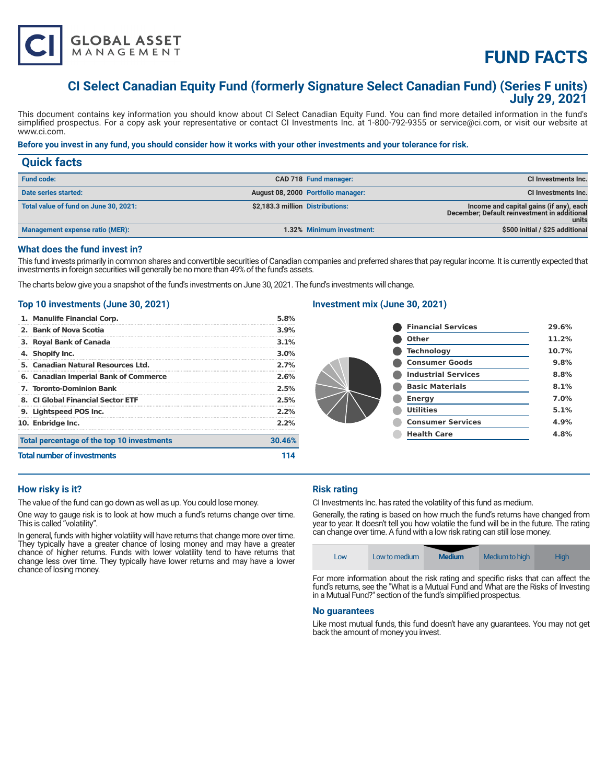

# **FUND FACTS**

# **CI Select Canadian Equity Fund (formerly Signature Select Canadian Fund) (Series F units) July 29, 2021**

This document contains key information you should know about CI Select Canadian Equity Fund. You can find more detailed information in the fund's simplified prospectus. For a copy ask your representative or contact CI Investments Inc. at 1-800-792-9355 or service@ci.com, or visit our website at www.ci.com.

### **Before you invest in any fund, you should consider how it works with your other investments and your tolerance for risk.**

| <b>Quick facts</b>                    |                                  |                                    |                                                                                                  |
|---------------------------------------|----------------------------------|------------------------------------|--------------------------------------------------------------------------------------------------|
| <b>Fund code:</b>                     |                                  | CAD 718 Fund manager:              | CI Investments Inc.                                                                              |
| Date series started:                  |                                  | August 08, 2000 Portfolio manager: | CI Investments Inc.                                                                              |
| Total value of fund on June 30, 2021: | \$2,183.3 million Distributions: |                                    | Income and capital gains (if any), each<br>December; Default reinvestment in additional<br>units |
| Management expense ratio (MER):       |                                  | 1.32% Minimum investment:          | \$500 initial / \$25 additional                                                                  |

# **What does the fund invest in?**

This fund invests primarily in common shares and convertible securities of Canadian companies and preferred shares that pay regular income. It is currently expected that investments in foreign securities will generally be no more than 49% of the fund's assets.

The charts below give you a snapshot of the fund's investments on June 30, 2021. The fund's investments will change.

#### **Top 10 investments (June 30, 2021)**

| 5. Canadian Natural Resources Ltd.<br>6. Canadian Imperial Bank of Commerce | 2.7%<br>2.6% |  |
|-----------------------------------------------------------------------------|--------------|--|
| 7. Toronto-Dominion Bank                                                    | 2.5%         |  |
| 8. CLGlobal Financial Sector ETF                                            | 2.5%         |  |
| 9. Lightspeed POS Inc.                                                      | 2.2%         |  |
| 10. Enbridge Inc.                                                           | 2.2%         |  |
| Total percentage of the top 10 investments                                  | 30.46%       |  |
| <b>Total number of investments</b>                                          |              |  |

# **Investment mix (June 30, 2021)**

| <b>Financial Services</b>  | 29.6% |
|----------------------------|-------|
| <b>Other</b>               | 11.2% |
| <b>Technology</b>          | 10.7% |
| <b>Consumer Goods</b>      | 9.8%  |
| <b>Industrial Services</b> | 8.8%  |
| <b>Basic Materials</b>     | 8.1%  |
| <b>Energy</b>              | 7.0%  |
| <b>Utilities</b>           | 5.1%  |
| <b>Consumer Services</b>   | 4.9%  |
| <b>Health Care</b>         | 4.8%  |
|                            |       |

# **How risky is it?**

The value of the fund can go down as well as up. You could lose money.

One way to gauge risk is to look at how much a fund's returns change over time. This is called "volatility".

In general, funds with higher volatility will have returns that change more over time. They typically have a greater chance of losing money and may have a greater chance of higher returns. Funds with lower volatility tend to have returns that change less over time. They typically have lower returns and may have a lower chance of losing money.

### **Risk rating**

CI Investments Inc. has rated the volatility of this fund as medium.

Generally, the rating is based on how much the fund's returns have changed from year to year. It doesn't tell you how volatile the fund will be in the future. The rating can change over time. A fund with a low risk rating can still lose money.

| Low | Low to medium | <b>Medium</b> | Medium to high | Hiah |
|-----|---------------|---------------|----------------|------|

For more information about the risk rating and specific risks that can affect the fund's returns, see the "What is a Mutual Fund and What are the Risks of Investing in a Mutual Fund?" section of the fund's simplified prospectus.

#### **No guarantees**

Like most mutual funds, this fund doesn't have any guarantees. You may not get back the amount of money you invest.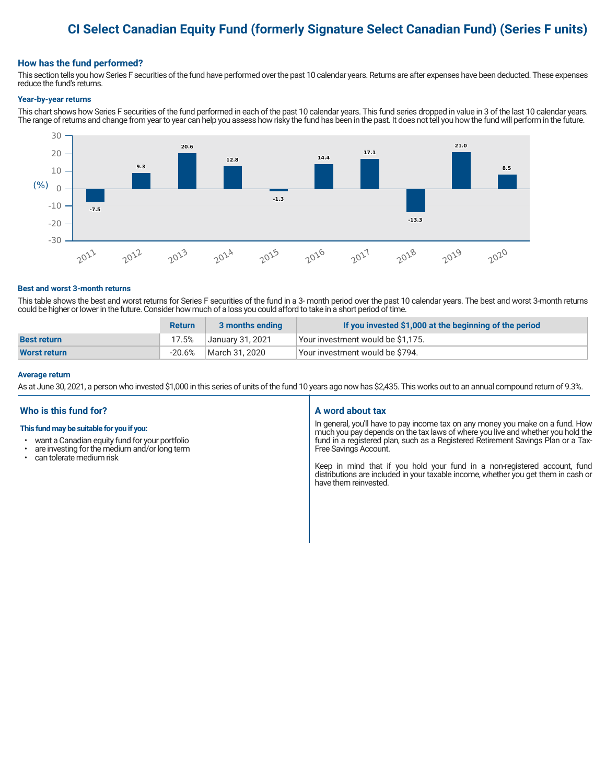# **CI Select Canadian Equity Fund (formerly Signature Select Canadian Fund) (Series F units)**

#### **How has the fund performed?**

This section tells you how Series F securities of the fund have performed over the past 10 calendar years. Returns are after expenses have been deducted. These expenses reduce the fund's returns.

#### **Year-by-year returns**

This chart shows how Series F securities of the fund performed in each of the past 10 calendar years. This fund series dropped in value in 3 of the last 10 calendar years. The range of returns and change from year to year can help you assess how risky the fund has been in the past. It does not tell you how the fund will perform in the future.



#### **Best and worst 3-month returns**

This table shows the best and worst returns for Series F securities of the fund in a 3- month period over the past 10 calendar years. The best and worst 3-month returns could be higher or lower in the future. Consider how much of a loss you could afford to take in a short period of time.

|                    | <b>Return</b> | 3 months ending  | If you invested \$1,000 at the beginning of the period |
|--------------------|---------------|------------------|--------------------------------------------------------|
| <b>Best return</b> | 17.5%         | January 31, 2021 | Your investment would be \$1,175.                      |
| Worst return       | -20.6%        | March 31, 2020   | Vour investment would be \$794.                        |

#### **Average return**

As at June 30, 2021, a person who invested \$1,000 in this series of units of the fund 10 years ago now has \$2,435. This works out to an annual compound return of 9.3%.

### **Who is this fund for?**

#### **This fund may be suitable for you if you:**

- want a Canadian equity fund for your portfolio
- are investing for the medium and/or long term<br>• can telerate medium risk
- can tolerate medium risk

#### **A word about tax**

In general, you'll have to pay income tax on any money you make on a fund. How much you pay depends on the tax laws of where you live and whether you hold the fund in a registered plan, such as a Registered Retirement Savings Plan or a Tax-Free Savings Account.

Keep in mind that if you hold your fund in a non-registered account, fund distributions are included in your taxable income, whether you get them in cash or have them reinvested.